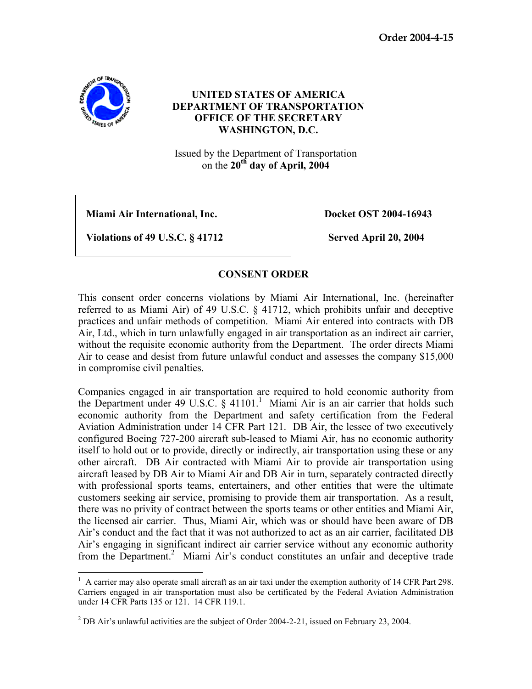**Order 2004-4-15** 



## **UNITED STATES OF AMERICA DEPARTMENT OF TRANSPORTATION OFFICE OF THE SECRETARY WASHINGTON, D.C.**

Issued by the Department of Transportation on the **20th day of April, 2004**

**Miami Air International, Inc.** The **Docket OST 2004-16943** 

**Violations of 49 U.S.C. § 41712** Served April 20, 2004

## **CONSENT ORDER**

This consent order concerns violations by Miami Air International, Inc. (hereinafter referred to as Miami Air) of 49 U.S.C. § 41712, which prohibits unfair and deceptive practices and unfair methods of competition. Miami Air entered into contracts with DB Air, Ltd., which in turn unlawfully engaged in air transportation as an indirect air carrier, without the requisite economic authority from the Department. The order directs Miami Air to cease and desist from future unlawful conduct and assesses the company \$15,000 in compromise civil penalties.

Companies engaged in air transportation are required to hold economic authority from the Department under 49 U.S.C.  $\S$  41101.<sup>1</sup> Miami Air is an air carrier that holds such economic authority from the Department and safety certification from the Federal Aviation Administration under 14 CFR Part 121. DB Air, the lessee of two executively configured Boeing 727-200 aircraft sub-leased to Miami Air, has no economic authority itself to hold out or to provide, directly or indirectly, air transportation using these or any other aircraft. DB Air contracted with Miami Air to provide air transportation using aircraft leased by DB Air to Miami Air and DB Air in turn, separately contracted directly with professional sports teams, entertainers, and other entities that were the ultimate customers seeking air service, promising to provide them air transportation. As a result, there was no privity of contract between the sports teams or other entities and Miami Air, the licensed air carrier. Thus, Miami Air, which was or should have been aware of DB Air's conduct and the fact that it was not authorized to act as an air carrier, facilitated DB Air's engaging in significant indirect air carrier service without any economic authority from the Department.<sup>2</sup> Miami Air's conduct constitutes an unfair and deceptive trade

 $\overline{a}$ <sup>1</sup> A carrier may also operate small aircraft as an air taxi under the exemption authority of 14 CFR Part 298. Carriers engaged in air transportation must also be certificated by the Federal Aviation Administration under 14 CFR Parts 135 or 121. 14 CFR 119.1.

<sup>&</sup>lt;sup>2</sup> DB Air's unlawful activities are the subject of Order 2004-2-21, issued on February 23, 2004.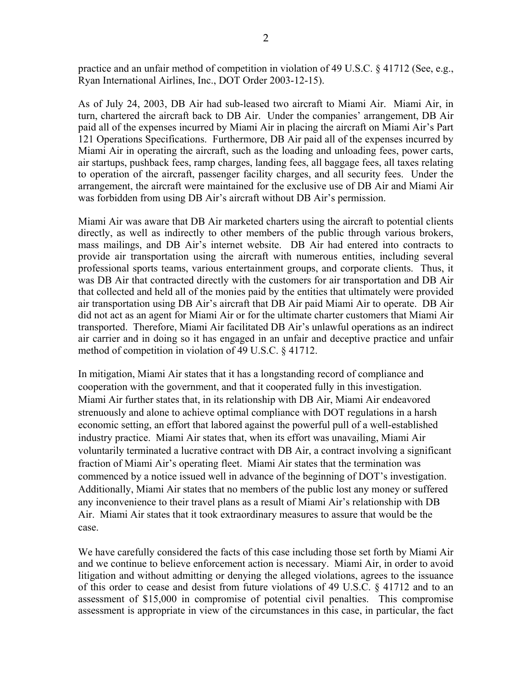practice and an unfair method of competition in violation of 49 U.S.C. § 41712 (See, e.g., Ryan International Airlines, Inc., DOT Order 2003-12-15).

As of July 24, 2003, DB Air had sub-leased two aircraft to Miami Air. Miami Air, in turn, chartered the aircraft back to DB Air. Under the companies' arrangement, DB Air paid all of the expenses incurred by Miami Air in placing the aircraft on Miami Air's Part 121 Operations Specifications. Furthermore, DB Air paid all of the expenses incurred by Miami Air in operating the aircraft, such as the loading and unloading fees, power carts, air startups, pushback fees, ramp charges, landing fees, all baggage fees, all taxes relating to operation of the aircraft, passenger facility charges, and all security fees. Under the arrangement, the aircraft were maintained for the exclusive use of DB Air and Miami Air was forbidden from using DB Air's aircraft without DB Air's permission.

Miami Air was aware that DB Air marketed charters using the aircraft to potential clients directly, as well as indirectly to other members of the public through various brokers, mass mailings, and DB Air's internet website. DB Air had entered into contracts to provide air transportation using the aircraft with numerous entities, including several professional sports teams, various entertainment groups, and corporate clients. Thus, it was DB Air that contracted directly with the customers for air transportation and DB Air that collected and held all of the monies paid by the entities that ultimately were provided air transportation using DB Air's aircraft that DB Air paid Miami Air to operate. DB Air did not act as an agent for Miami Air or for the ultimate charter customers that Miami Air transported. Therefore, Miami Air facilitated DB Air's unlawful operations as an indirect air carrier and in doing so it has engaged in an unfair and deceptive practice and unfair method of competition in violation of 49 U.S.C. § 41712.

In mitigation, Miami Air states that it has a longstanding record of compliance and cooperation with the government, and that it cooperated fully in this investigation. Miami Air further states that, in its relationship with DB Air, Miami Air endeavored strenuously and alone to achieve optimal compliance with DOT regulations in a harsh economic setting, an effort that labored against the powerful pull of a well-established industry practice. Miami Air states that, when its effort was unavailing, Miami Air voluntarily terminated a lucrative contract with DB Air, a contract involving a significant fraction of Miami Air's operating fleet. Miami Air states that the termination was commenced by a notice issued well in advance of the beginning of DOT's investigation. Additionally, Miami Air states that no members of the public lost any money or suffered any inconvenience to their travel plans as a result of Miami Air's relationship with DB Air. Miami Air states that it took extraordinary measures to assure that would be the case.

We have carefully considered the facts of this case including those set forth by Miami Air and we continue to believe enforcement action is necessary. Miami Air, in order to avoid litigation and without admitting or denying the alleged violations, agrees to the issuance of this order to cease and desist from future violations of 49 U.S.C. § 41712 and to an assessment of \$15,000 in compromise of potential civil penalties. This compromise assessment is appropriate in view of the circumstances in this case, in particular, the fact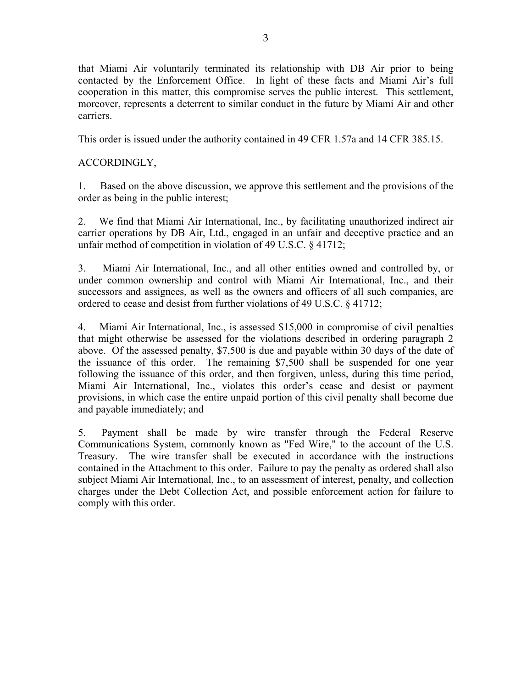that Miami Air voluntarily terminated its relationship with DB Air prior to being contacted by the Enforcement Office. In light of these facts and Miami Air's full cooperation in this matter, this compromise serves the public interest. This settlement, moreover, represents a deterrent to similar conduct in the future by Miami Air and other carriers.

This order is issued under the authority contained in 49 CFR 1.57a and 14 CFR 385.15.

## ACCORDINGLY,

1. Based on the above discussion, we approve this settlement and the provisions of the order as being in the public interest;

2. We find that Miami Air International, Inc., by facilitating unauthorized indirect air carrier operations by DB Air, Ltd., engaged in an unfair and deceptive practice and an unfair method of competition in violation of 49 U.S.C. § 41712;

3. Miami Air International, Inc., and all other entities owned and controlled by, or under common ownership and control with Miami Air International, Inc., and their successors and assignees, as well as the owners and officers of all such companies, are ordered to cease and desist from further violations of 49 U.S.C. § 41712;

4. Miami Air International, Inc., is assessed \$15,000 in compromise of civil penalties that might otherwise be assessed for the violations described in ordering paragraph 2 above. Of the assessed penalty, \$7,500 is due and payable within 30 days of the date of the issuance of this order. The remaining \$7,500 shall be suspended for one year following the issuance of this order, and then forgiven, unless, during this time period, Miami Air International, Inc., violates this order's cease and desist or payment provisions, in which case the entire unpaid portion of this civil penalty shall become due and payable immediately; and

5. Payment shall be made by wire transfer through the Federal Reserve Communications System, commonly known as "Fed Wire," to the account of the U.S. Treasury. The wire transfer shall be executed in accordance with the instructions contained in the Attachment to this order. Failure to pay the penalty as ordered shall also subject Miami Air International, Inc., to an assessment of interest, penalty, and collection charges under the Debt Collection Act, and possible enforcement action for failure to comply with this order.